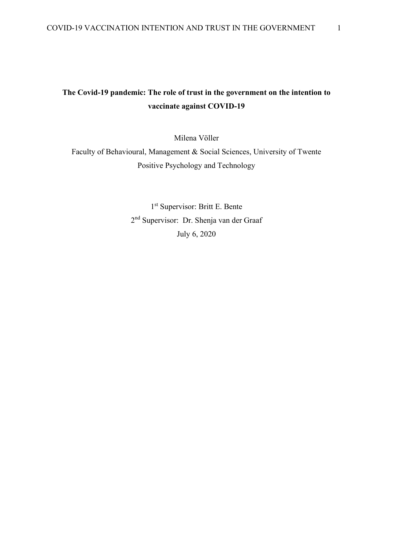# **The Covid-19 pandemic: The role of trust in the government on the intention to vaccinate against COVID-19**

Milena Völler

Faculty of Behavioural, Management & Social Sciences, University of Twente Positive Psychology and Technology

> 1 st Supervisor: Britt E. Bente 2<sup>nd</sup> Supervisor: Dr. Shenja van der Graaf July 6, 2020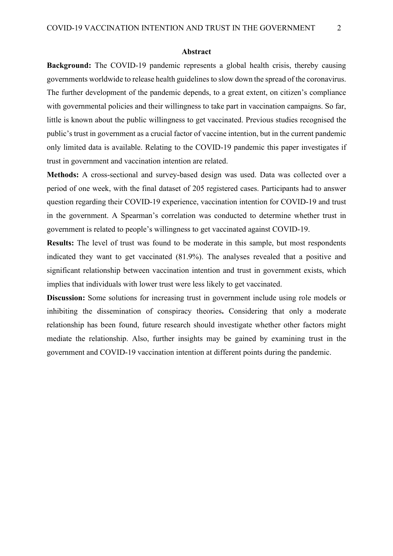#### **Abstract**

**Background:** The COVID-19 pandemic represents a global health crisis, thereby causing governments worldwide to release health guidelines to slow down the spread of the coronavirus. The further development of the pandemic depends, to a great extent, on citizen's compliance with governmental policies and their willingness to take part in vaccination campaigns. So far, little is known about the public willingness to get vaccinated. Previous studies recognised the public's trust in government as a crucial factor of vaccine intention, but in the current pandemic only limited data is available. Relating to the COVID-19 pandemic this paper investigates if trust in government and vaccination intention are related.

**Methods:** A cross-sectional and survey-based design was used. Data was collected over a period of one week, with the final dataset of 205 registered cases. Participants had to answer question regarding their COVID-19 experience, vaccination intention for COVID-19 and trust in the government. A Spearman's correlation was conducted to determine whether trust in government is related to people's willingness to get vaccinated against COVID-19.

**Results:** The level of trust was found to be moderate in this sample, but most respondents indicated they want to get vaccinated (81.9%). The analyses revealed that a positive and significant relationship between vaccination intention and trust in government exists, which implies that individuals with lower trust were less likely to get vaccinated.

**Discussion:** Some solutions for increasing trust in government include using role models or inhibiting the dissemination of conspiracy theories**.** Considering that only a moderate relationship has been found, future research should investigate whether other factors might mediate the relationship. Also, further insights may be gained by examining trust in the government and COVID-19 vaccination intention at different points during the pandemic.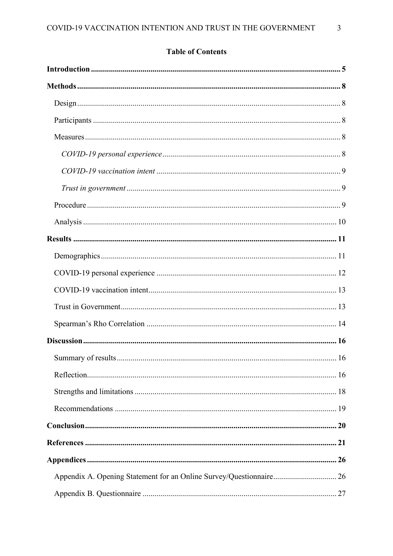# **Table of Contents**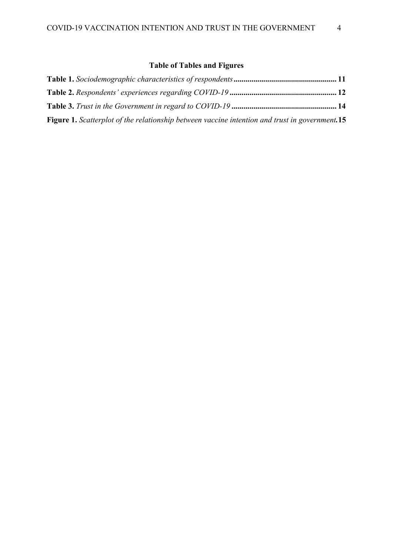# **Table of Tables and Figures**

| <b>Figure 1.</b> Scatterplot of the relationship between vaccine intention and trust in government.15 |  |
|-------------------------------------------------------------------------------------------------------|--|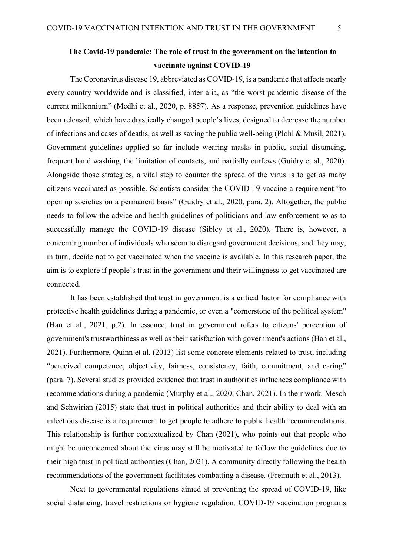# <span id="page-4-0"></span>**The Covid-19 pandemic: The role of trust in the government on the intention to vaccinate against COVID-19**

The Coronavirus disease 19, abbreviated as COVID-19, is a pandemic that affects nearly every country worldwide and is classified, inter alia, as "the worst pandemic disease of the current millennium" (Medhi et al., 2020, p. 8857). As a response, prevention guidelines have been released, which have drastically changed people's lives, designed to decrease the number of infections and cases of deaths, as well as saving the public well-being (Plohl & Musil, 2021). Government guidelines applied so far include wearing masks in public, social distancing, frequent hand washing, the limitation of contacts, and partially curfews (Guidry et al., 2020). Alongside those strategies, a vital step to counter the spread of the virus is to get as many citizens vaccinated as possible. Scientists consider the COVID-19 vaccine a requirement "to open up societies on a permanent basis" (Guidry et al., 2020, para. 2). Altogether, the public needs to follow the advice and health guidelines of politicians and law enforcement so as to successfully manage the COVID-19 disease (Sibley et al., 2020). There is, however, a concerning number of individuals who seem to disregard government decisions, and they may, in turn, decide not to get vaccinated when the vaccine is available. In this research paper, the aim is to explore if people's trust in the government and their willingness to get vaccinated are connected.

It has been established that trust in government is a critical factor for compliance with protective health guidelines during a pandemic, or even a "cornerstone of the political system" (Han et al., 2021, p.2). In essence, trust in government refers to citizens' perception of government's trustworthiness as well as their satisfaction with government's actions (Han et al., 2021). Furthermore, Quinn et al. (2013) list some concrete elements related to trust, including "perceived competence, objectivity, fairness, consistency, faith, commitment, and caring" (para. 7). Several studies provided evidence that trust in authorities influences compliance with recommendations during a pandemic (Murphy et al., 2020; Chan, 2021). In their work, Mesch and Schwirian (2015) state that trust in political authorities and their ability to deal with an infectious disease is a requirement to get people to adhere to public health recommendations. This relationship is further contextualized by Chan (2021), who points out that people who might be unconcerned about the virus may still be motivated to follow the guidelines due to their high trust in political authorities (Chan, 2021). A community directly following the health recommendations of the government facilitates combatting a disease. (Freimuth et al., 2013).

Next to governmental regulations aimed at preventing the spread of COVID-19, like social distancing, travel restrictions or hygiene regulation*,* COVID-19 vaccination programs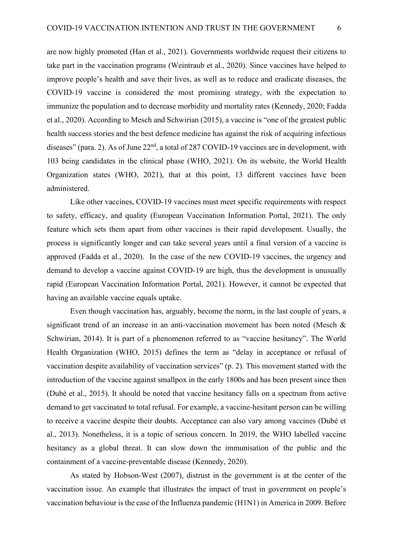are now highly promoted (Han et al., 2021). Governments worldwide request their citizens to take part in the vaccination programs (Weintraub et al., 2020). Since vaccines have helped to improve people's health and save their lives, as well as to reduce and eradicate diseases, the COVID-19 vaccine is considered the most promising strategy, with the expectation to immunize the population and to decrease morbidity and mortality rates (Kennedy, 2020; Fadda et al., 2020). According to Mesch and Schwirian (2015), a vaccine is "one of the greatest public health success stories and the best defence medicine has against the risk of acquiring infectious diseases" (para. 2). As of June 22<sup>nd</sup>, a total of 287 COVID-19 vaccines are in development, with 103 being candidates in the clinical phase (WHO, 2021). On its website, the World Health Organization states (WHO, 2021), that at this point, 13 different vaccines have been administered.

Like other vaccines, COVID-19 vaccines must meet specific requirements with respect to safety, efficacy, and quality (European Vaccination Information Portal, 2021). The only feature which sets them apart from other vaccines is their rapid development. Usually, the process is significantly longer and can take several years until a final version of a vaccine is approved (Fadda et al., 2020). In the case of the new COVID-19 vaccines, the urgency and demand to develop a vaccine against COVID-19 are high, thus the development is unusually rapid (European Vaccination Information Portal, 2021). However, it cannot be expected that having an available vaccine equals uptake.

Even though vaccination has, arguably, become the norm, in the last couple of years, a significant trend of an increase in an anti-vaccination movement has been noted (Mesch & Schwirian, 2014). It is part of a phenomenon referred to as "vaccine hesitancy". The World Health Organization (WHO, 2015) defines the term as "delay in acceptance or refusal of vaccination despite availability of vaccination services" (p. 2). This movement started with the introduction of the vaccine against smallpox in the early 1800s and has been present since then (Dubé et al., 2015). It should be noted that vaccine hesitancy falls on a spectrum from active demand to get vaccinated to total refusal. For example, a vaccine-hesitant person can be willing to receive a vaccine despite their doubts. Acceptance can also vary among vaccines (Dubé et al., 2013). Nonetheless, it is a topic of serious concern. In 2019, the WHO labelled vaccine hesitancy as a global threat. It can slow down the immunisation of the public and the containment of a vaccine-preventable disease (Kennedy, 2020).

As stated by Hobson-West (2007), distrust in the government is at the center of the vaccination issue. An example that illustrates the impact of trust in government on people's vaccination behaviour is the case of the Influenza pandemic (H1N1) in America in 2009. Before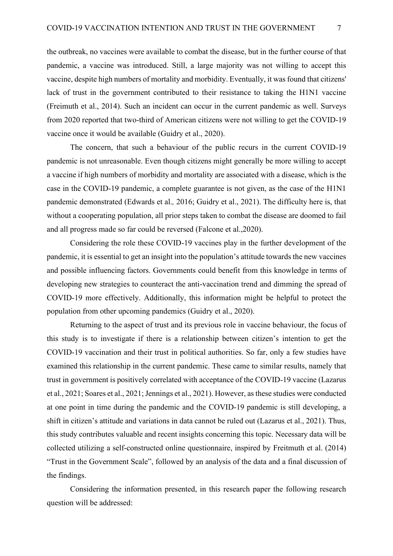the outbreak, no vaccines were available to combat the disease, but in the further course of that pandemic, a vaccine was introduced. Still, a large majority was not willing to accept this vaccine, despite high numbers of mortality and morbidity. Eventually, it was found that citizens' lack of trust in the government contributed to their resistance to taking the H1N1 vaccine (Freimuth et al., 2014). Such an incident can occur in the current pandemic as well. Surveys from 2020 reported that two-third of American citizens were not willing to get the COVID-19 vaccine once it would be available (Guidry et al., 2020).

The concern, that such a behaviour of the public recurs in the current COVID-19 pandemic is not unreasonable. Even though citizens might generally be more willing to accept a vaccine if high numbers of morbidity and mortality are associated with a disease, which is the case in the COVID-19 pandemic, a complete guarantee is not given, as the case of the H1N1 pandemic demonstrated (Edwards et al.*,* 2016; Guidry et al., 2021). The difficulty here is, that without a cooperating population, all prior steps taken to combat the disease are doomed to fail and all progress made so far could be reversed (Falcone et al.,2020).

Considering the role these COVID-19 vaccines play in the further development of the pandemic, it is essential to get an insight into the population's attitude towards the new vaccines and possible influencing factors. Governments could benefit from this knowledge in terms of developing new strategies to counteract the anti-vaccination trend and dimming the spread of COVID-19 more effectively. Additionally, this information might be helpful to protect the population from other upcoming pandemics (Guidry et al., 2020).

Returning to the aspect of trust and its previous role in vaccine behaviour, the focus of this study is to investigate if there is a relationship between citizen's intention to get the COVID-19 vaccination and their trust in political authorities. So far, only a few studies have examined this relationship in the current pandemic. These came to similar results, namely that trust in government is positively correlated with acceptance of the COVID-19 vaccine (Lazarus et al., 2021; Soares et al., 2021; Jennings et al., 2021). However, as these studies were conducted at one point in time during the pandemic and the COVID-19 pandemic is still developing, a shift in citizen's attitude and variations in data cannot be ruled out (Lazarus et al., 2021). Thus, this study contributes valuable and recent insights concerning this topic. Necessary data will be collected utilizing a self-constructed online questionnaire, inspired by Freitmuth et al. (2014) "Trust in the Government Scale", followed by an analysis of the data and a final discussion of the findings.

Considering the information presented, in this research paper the following research question will be addressed: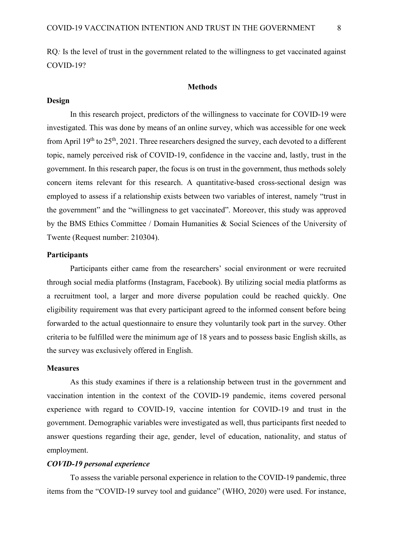RQ*:* Is the level of trust in the government related to the willingness to get vaccinated against COVID-19?

#### **Methods**

### <span id="page-7-1"></span><span id="page-7-0"></span>**Design**

In this research project, predictors of the willingness to vaccinate for COVID-19 were investigated. This was done by means of an online survey, which was accessible for one week from April 19<sup>th</sup> to 25<sup>th</sup>, 2021. Three researchers designed the survey, each devoted to a different topic, namely perceived risk of COVID-19, confidence in the vaccine and, lastly, trust in the government. In this research paper, the focus is on trust in the government, thus methods solely concern items relevant for this research. A quantitative-based cross-sectional design was employed to assess if a relationship exists between two variables of interest, namely "trust in the government" and the "willingness to get vaccinated". Moreover, this study was approved by the BMS Ethics Committee / Domain Humanities & Social Sciences of the University of Twente (Request number: 210304).

## <span id="page-7-2"></span>**Participants**

Participants either came from the researchers' social environment or were recruited through social media platforms (Instagram, Facebook). By utilizing social media platforms as a recruitment tool, a larger and more diverse population could be reached quickly. One eligibility requirement was that every participant agreed to the informed consent before being forwarded to the actual questionnaire to ensure they voluntarily took part in the survey. Other criteria to be fulfilled were the minimum age of 18 years and to possess basic English skills, as the survey was exclusively offered in English.

#### <span id="page-7-3"></span>**Measures**

As this study examines if there is a relationship between trust in the government and vaccination intention in the context of the COVID-19 pandemic, items covered personal experience with regard to COVID-19, vaccine intention for COVID-19 and trust in the government. Demographic variables were investigated as well, thus participants first needed to answer questions regarding their age, gender, level of education, nationality, and status of employment.

#### <span id="page-7-4"></span>*COVID-19 personal experience*

To assess the variable personal experience in relation to the COVID-19 pandemic, three items from the "COVID-19 survey tool and guidance" (WHO, 2020) were used. For instance,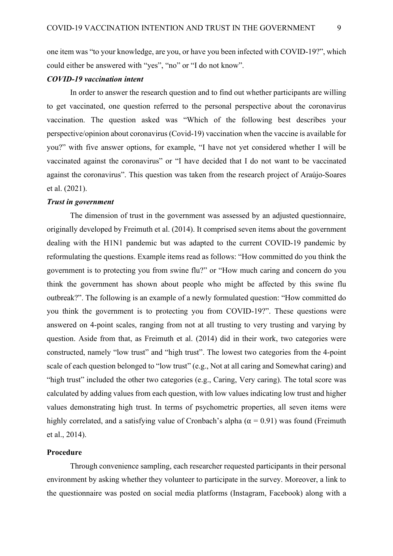one item was "to your knowledge, are you, or have you been infected with COVID-19?", which could either be answered with "yes", "no" or "I do not know".

## <span id="page-8-0"></span>*COVID-19 vaccination intent*

In order to answer the research question and to find out whether participants are willing to get vaccinated, one question referred to the personal perspective about the coronavirus vaccination. The question asked was "Which of the following best describes your perspective/opinion about coronavirus (Covid-19) vaccination when the vaccine is available for you?" with five answer options, for example, "I have not yet considered whether I will be vaccinated against the coronavirus" or "I have decided that I do not want to be vaccinated against the coronavirus". This question was taken from the research project of Araújo-Soares et al. (2021).

### <span id="page-8-1"></span>*Trust in government*

The dimension of trust in the government was assessed by an adjusted questionnaire, originally developed by Freimuth et al. (2014). It comprised seven items about the government dealing with the H1N1 pandemic but was adapted to the current COVID-19 pandemic by reformulating the questions. Example items read as follows: "How committed do you think the government is to protecting you from swine flu?" or "How much caring and concern do you think the government has shown about people who might be affected by this swine flu outbreak?". The following is an example of a newly formulated question: "How committed do you think the government is to protecting you from COVID-19?". These questions were answered on 4-point scales, ranging from not at all trusting to very trusting and varying by question. Aside from that, as Freimuth et al. (2014) did in their work, two categories were constructed, namely "low trust" and "high trust". The lowest two categories from the 4-point scale of each question belonged to "low trust" (e.g., Not at all caring and Somewhat caring) and "high trust" included the other two categories (e.g., Caring, Very caring). The total score was calculated by adding values from each question, with low values indicating low trust and higher values demonstrating high trust. In terms of psychometric properties, all seven items were highly correlated, and a satisfying value of Cronbach's alpha ( $\alpha$  = 0.91) was found (Freimuth et al., 2014).

## <span id="page-8-2"></span>**Procedure**

Through convenience sampling, each researcher requested participants in their personal environment by asking whether they volunteer to participate in the survey. Moreover, a link to the questionnaire was posted on social media platforms (Instagram, Facebook) along with a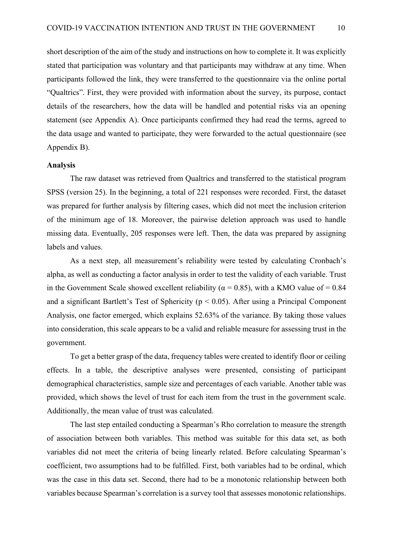short description of the aim of the study and instructions on how to complete it. It was explicitly stated that participation was voluntary and that participants may withdraw at any time. When participants followed the link, they were transferred to the questionnaire via the online portal "Qualtrics". First, they were provided with information about the survey, its purpose, contact details of the researchers, how the data will be handled and potential risks via an opening statement (see Appendix A). Once participants confirmed they had read the terms, agreed to the data usage and wanted to participate, they were forwarded to the actual questionnaire (see Appendix B).

#### <span id="page-9-0"></span>**Analysis**

The raw dataset was retrieved from Qualtrics and transferred to the statistical program SPSS (version 25). In the beginning, a total of 221 responses were recorded. First, the dataset was prepared for further analysis by filtering cases, which did not meet the inclusion criterion of the minimum age of 18. Moreover, the pairwise deletion approach was used to handle missing data. Eventually, 205 responses were left. Then, the data was prepared by assigning labels and values.

As a next step, all measurement's reliability were tested by calculating Cronbach's alpha, as well as conducting a factor analysis in order to test the validity of each variable. Trust in the Government Scale showed excellent reliability ( $\alpha = 0.85$ ), with a KMO value of = 0.84 and a significant Bartlett's Test of Sphericity ( $p < 0.05$ ). After using a Principal Component Analysis, one factor emerged, which explains 52.63% of the variance. By taking those values into consideration, this scale appears to be a valid and reliable measure for assessing trust in the government.

To get a better grasp of the data, frequency tables were created to identify floor or ceiling effects. In a table, the descriptive analyses were presented, consisting of participant demographical characteristics, sample size and percentages of each variable. Another table was provided, which shows the level of trust for each item from the trust in the government scale. Additionally, the mean value of trust was calculated.

The last step entailed conducting a Spearman's Rho correlation to measure the strength of association between both variables. This method was suitable for this data set, as both variables did not meet the criteria of being linearly related. Before calculating Spearman's coefficient, two assumptions had to be fulfilled. First, both variables had to be ordinal, which was the case in this data set. Second, there had to be a monotonic relationship between both variables because Spearman's correlation is a survey tool that assesses monotonic relationships.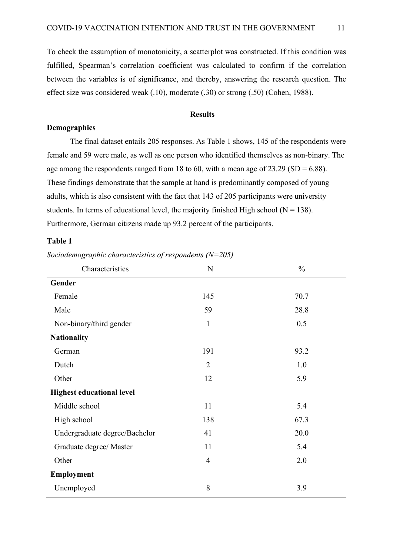To check the assumption of monotonicity, a scatterplot was constructed. If this condition was fulfilled, Spearman's correlation coefficient was calculated to confirm if the correlation between the variables is of significance, and thereby, answering the research question. The effect size was considered weak (.10), moderate (.30) or strong (.50) (Cohen, 1988).

## **Results**

## <span id="page-10-1"></span><span id="page-10-0"></span>**Demographics**

The final dataset entails 205 responses. As Table 1 shows, 145 of the respondents were female and 59 were male, as well as one person who identified themselves as non-binary. The age among the respondents ranged from 18 to 60, with a mean age of  $23.29$  (SD = 6.88). These findings demonstrate that the sample at hand is predominantly composed of young adults, which is also consistent with the fact that 143 of 205 participants were university students. In terms of educational level, the majority finished High school ( $N = 138$ ). Furthermore, German citizens made up 93.2 percent of the participants.

#### <span id="page-10-2"></span>**Table 1**

*Sociodemographic characteristics of respondents (N=205)*

| Characteristics                  | $\mathbf N$    | $\frac{0}{0}$ |
|----------------------------------|----------------|---------------|
| Gender                           |                |               |
| Female                           | 145            | 70.7          |
| Male                             | 59             | 28.8          |
| Non-binary/third gender          | $\mathbf{1}$   | 0.5           |
| <b>Nationality</b>               |                |               |
| German                           | 191            | 93.2          |
| Dutch                            | $\overline{2}$ | 1.0           |
| Other                            | 12             | 5.9           |
| <b>Highest educational level</b> |                |               |
| Middle school                    | 11             | 5.4           |
| High school                      | 138            | 67.3          |
| Undergraduate degree/Bachelor    | 41             | 20.0          |
| Graduate degree/ Master          | 11             | 5.4           |
| Other                            | $\overline{4}$ | 2.0           |
| Employment                       |                |               |
| Unemployed                       | 8              | 3.9           |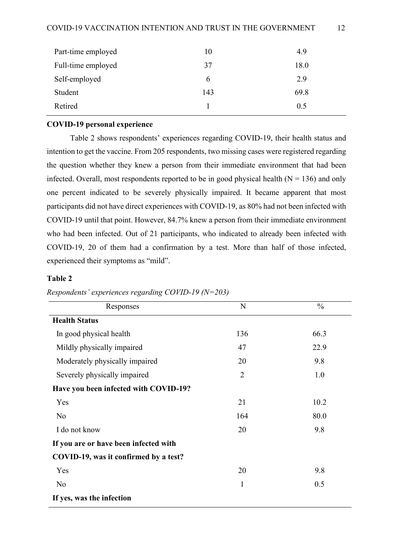| Part-time employed | 10  | 4.9  |
|--------------------|-----|------|
| Full-time employed | 37  | 18.0 |
| Self-employed      | 6   | 2.9  |
| Student            | 143 | 69.8 |
| Retired            |     | 0.5  |

### <span id="page-11-0"></span>**COVID-19 personal experience**

Table 2 shows respondents' experiences regarding COVID-19, their health status and intention to get the vaccine. From 205 respondents, two missing cases were registered regarding the question whether they knew a person from their immediate environment that had been infected. Overall, most respondents reported to be in good physical health  $(N = 136)$  and only one percent indicated to be severely physically impaired. It became apparent that most participants did not have direct experiences with COVID-19, as 80% had not been infected with COVID-19 until that point. However, 84.7% knew a person from their immediate environment who had been infected. Out of 21 participants, who indicated to already been infected with COVID-19, 20 of them had a confirmation by a test. More than half of those infected, experienced their symptoms as "mild".

## <span id="page-11-1"></span>**Table 2**

| Responses                             | N              | $\frac{0}{0}$ |
|---------------------------------------|----------------|---------------|
| <b>Health Status</b>                  |                |               |
| In good physical health               | 136            | 66.3          |
| Mildly physically impaired            | 47             | 22.9          |
| Moderately physically impaired        | 20             | 9.8           |
| Severely physically impaired          | $\overline{2}$ | 1.0           |
| Have you been infected with COVID-19? |                |               |
| Yes                                   | 21             | 10.2          |
| No                                    | 164            | 80.0          |
| I do not know                         | 20             | 9.8           |
| If you are or have been infected with |                |               |
| COVID-19, was it confirmed by a test? |                |               |
| Yes                                   | 20             | 9.8           |
| N <sub>o</sub>                        | 1              | 0.5           |
| If yes, was the infection             |                |               |

*Respondents' experiences regarding COVID-19 (N=203)*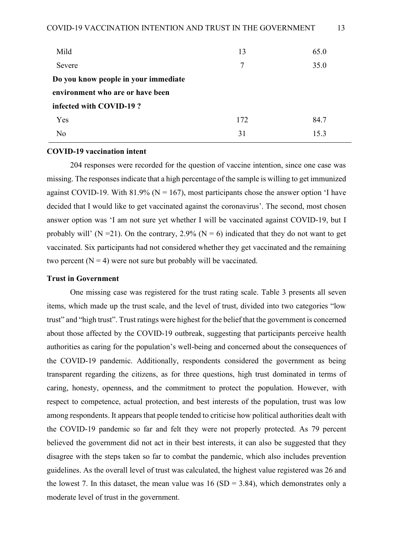| Mild                                 | 13  | 65.0 |
|--------------------------------------|-----|------|
| Severe                               | 7   | 35.0 |
| Do you know people in your immediate |     |      |
| environment who are or have been     |     |      |
| infected with COVID-19?              |     |      |
| <b>Yes</b>                           | 172 | 84.7 |
| N <sub>o</sub>                       | 31  | 15.3 |
|                                      |     |      |

#### <span id="page-12-0"></span>**COVID-19 vaccination intent**

204 responses were recorded for the question of vaccine intention, since one case was missing. The responses indicate that a high percentage of the sample is willing to get immunized against COVID-19. With 81.9% ( $N = 167$ ), most participants chose the answer option 'I have decided that I would like to get vaccinated against the coronavirus'. The second, most chosen answer option was 'I am not sure yet whether I will be vaccinated against COVID-19, but I probably will' (N = 21). On the contrary, 2.9% (N = 6) indicated that they do not want to get vaccinated. Six participants had not considered whether they get vaccinated and the remaining two percent  $(N = 4)$  were not sure but probably will be vaccinated.

## <span id="page-12-1"></span>**Trust in Government**

One missing case was registered for the trust rating scale. Table 3 presents all seven items, which made up the trust scale, and the level of trust, divided into two categories "low trust" and "high trust". Trust ratings were highest for the belief that the government is concerned about those affected by the COVID-19 outbreak, suggesting that participants perceive health authorities as caring for the population's well-being and concerned about the consequences of the COVID-19 pandemic. Additionally, respondents considered the government as being transparent regarding the citizens, as for three questions, high trust dominated in terms of caring, honesty, openness, and the commitment to protect the population. However, with respect to competence, actual protection, and best interests of the population, trust was low among respondents. It appears that people tended to criticise how political authorities dealt with the COVID-19 pandemic so far and felt they were not properly protected. As 79 percent believed the government did not act in their best interests, it can also be suggested that they disagree with the steps taken so far to combat the pandemic, which also includes prevention guidelines. As the overall level of trust was calculated, the highest value registered was 26 and the lowest 7. In this dataset, the mean value was  $16 (SD = 3.84)$ , which demonstrates only a moderate level of trust in the government.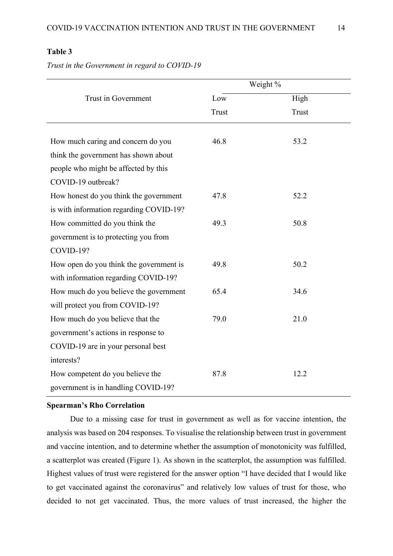## <span id="page-13-1"></span>**Table 3**

*Trust in the Government in regard to COVID-19*

|                                         | Weight %     |       |
|-----------------------------------------|--------------|-------|
| Trust in Government                     | Low          | High  |
|                                         | <b>Trust</b> | Trust |
|                                         |              |       |
| How much caring and concern do you      | 46.8         | 53.2  |
| think the government has shown about    |              |       |
| people who might be affected by this    |              |       |
| COVID-19 outbreak?                      |              |       |
| How honest do you think the government  | 47.8         | 52.2  |
| is with information regarding COVID-19? |              |       |
| How committed do you think the          | 49.3         | 50.8  |
| government is to protecting you from    |              |       |
| COVID-19?                               |              |       |
| How open do you think the government is | 49.8         | 50.2  |
| with information regarding COVID-19?    |              |       |
| How much do you believe the government  | 65.4         | 34.6  |
| will protect you from COVID-19?         |              |       |
| How much do you believe that the        | 79.0         | 21.0  |
| government's actions in response to     |              |       |
| COVID-19 are in your personal best      |              |       |
| interests?                              |              |       |
| How competent do you believe the        | 87.8         | 12.2  |
| government is in handling COVID-19?     |              |       |

### <span id="page-13-0"></span>**Spearman's Rho Correlation**

Due to a missing case for trust in government as well as for vaccine intention, the analysis was based on 204 responses. To visualise the relationship between trust in government and vaccine intention, and to determine whether the assumption of monotonicity was fulfilled, a scatterplot was created (Figure 1). As shown in the scatterplot, the assumption was fulfilled. Highest values of trust were registered for the answer option "I have decided that I would like to get vaccinated against the coronavirus" and relatively low values of trust for those, who decided to not get vaccinated. Thus, the more values of trust increased, the higher the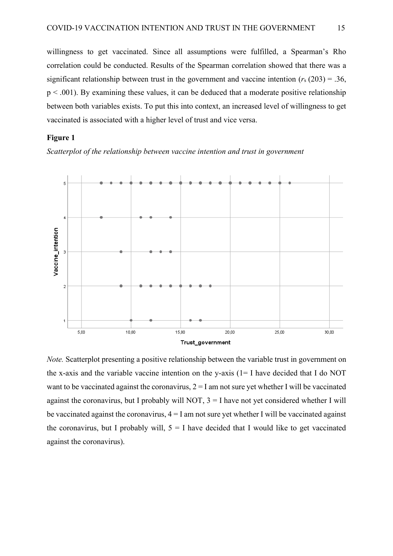willingness to get vaccinated. Since all assumptions were fulfilled, a Spearman's Rho correlation could be conducted. Results of the Spearman correlation showed that there was a significant relationship between trust in the government and vaccine intention  $(r<sub>s</sub> (203) = .36, )$  $p \leq 0.001$ ). By examining these values, it can be deduced that a moderate positive relationship between both variables exists. To put this into context, an increased level of willingness to get vaccinated is associated with a higher level of trust and vice versa.

#### <span id="page-14-0"></span>**Figure 1**

*Scatterplot of the relationship between vaccine intention and trust in government*



*Note.* Scatterplot presenting a positive relationship between the variable trust in government on the x-axis and the variable vaccine intention on the y-axis (1= I have decided that I do NOT want to be vaccinated against the coronavirus,  $2 = I$  am not sure yet whether I will be vaccinated against the coronavirus, but I probably will NOT,  $3 = I$  have not yet considered whether I will be vaccinated against the coronavirus,  $4 = I$  am not sure yet whether I will be vaccinated against the coronavirus, but I probably will,  $5 = I$  have decided that I would like to get vaccinated against the coronavirus).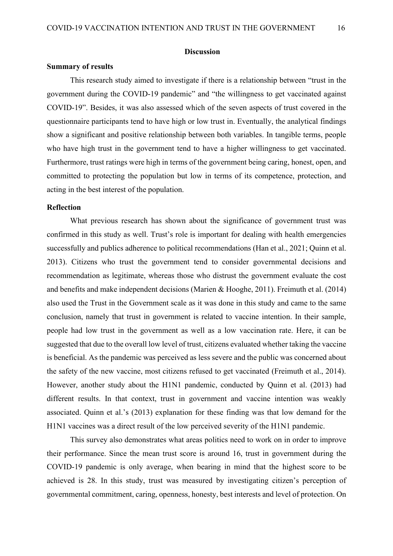#### **Discussion**

### <span id="page-15-1"></span><span id="page-15-0"></span>**Summary of results**

This research study aimed to investigate if there is a relationship between "trust in the government during the COVID-19 pandemic" and "the willingness to get vaccinated against COVID-19". Besides, it was also assessed which of the seven aspects of trust covered in the questionnaire participants tend to have high or low trust in. Eventually, the analytical findings show a significant and positive relationship between both variables. In tangible terms, people who have high trust in the government tend to have a higher willingness to get vaccinated. Furthermore, trust ratings were high in terms of the government being caring, honest, open, and committed to protecting the population but low in terms of its competence, protection, and acting in the best interest of the population.

#### <span id="page-15-2"></span>**Reflection**

What previous research has shown about the significance of government trust was confirmed in this study as well. Trust's role is important for dealing with health emergencies successfully and publics adherence to political recommendations (Han et al., 2021; Quinn et al. 2013). Citizens who trust the government tend to consider governmental decisions and recommendation as legitimate, whereas those who distrust the government evaluate the cost and benefits and make independent decisions (Marien & Hooghe, 2011). Freimuth et al. (2014) also used the Trust in the Government scale as it was done in this study and came to the same conclusion, namely that trust in government is related to vaccine intention. In their sample, people had low trust in the government as well as a low vaccination rate. Here, it can be suggested that due to the overall low level of trust, citizens evaluated whether taking the vaccine is beneficial. As the pandemic was perceived as less severe and the public was concerned about the safety of the new vaccine, most citizens refused to get vaccinated (Freimuth et al., 2014). However, another study about the H1N1 pandemic, conducted by Quinn et al. (2013) had different results. In that context, trust in government and vaccine intention was weakly associated. Quinn et al.'s (2013) explanation for these finding was that low demand for the H1N1 vaccines was a direct result of the low perceived severity of the H1N1 pandemic.

This survey also demonstrates what areas politics need to work on in order to improve their performance. Since the mean trust score is around 16, trust in government during the COVID-19 pandemic is only average, when bearing in mind that the highest score to be achieved is 28. In this study, trust was measured by investigating citizen's perception of governmental commitment, caring, openness, honesty, best interests and level of protection. On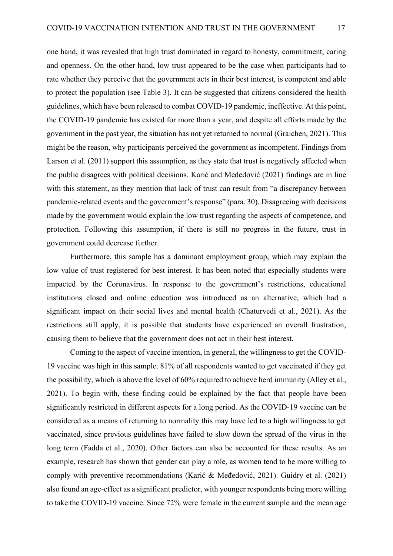one hand, it was revealed that high trust dominated in regard to honesty, commitment, caring and openness. On the other hand, low trust appeared to be the case when participants had to rate whether they perceive that the government acts in their best interest, is competent and able to protect the population (see Table 3). It can be suggested that citizens considered the health guidelines, which have been released to combat COVID-19 pandemic, ineffective. At this point, the COVID-19 pandemic has existed for more than a year, and despite all efforts made by the government in the past year, the situation has not yet returned to normal (Graichen, 2021). This might be the reason, why participants perceived the government as incompetent. Findings from Larson et al. (2011) support this assumption, as they state that trust is negatively affected when the public disagrees with political decisions. Karić and Međedović (2021) findings are in line with this statement, as they mention that lack of trust can result from "a discrepancy between pandemic-related events and the government's response" (para. 30). Disagreeing with decisions made by the government would explain the low trust regarding the aspects of competence, and protection. Following this assumption, if there is still no progress in the future, trust in government could decrease further.

Furthermore, this sample has a dominant employment group, which may explain the low value of trust registered for best interest. It has been noted that especially students were impacted by the Coronavirus. In response to the government's restrictions, educational institutions closed and online education was introduced as an alternative, which had a significant impact on their social lives and mental health (Chaturvedi et al., 2021). As the restrictions still apply, it is possible that students have experienced an overall frustration, causing them to believe that the government does not act in their best interest.

Coming to the aspect of vaccine intention, in general, the willingness to get the COVID-19 vaccine was high in this sample. 81% of all respondents wanted to get vaccinated if they get the possibility, which is above the level of 60% required to achieve herd immunity (Alley et al., 2021). To begin with, these finding could be explained by the fact that people have been significantly restricted in different aspects for a long period. As the COVID-19 vaccine can be considered as a means of returning to normality this may have led to a high willingness to get vaccinated, since previous guidelines have failed to slow down the spread of the virus in the long term (Fadda et al., 2020). Other factors can also be accounted for these results. As an example, research has shown that gender can play a role, as women tend to be more willing to comply with preventive recommendations (Karić & Međedović, 2021). Guidry et al. (2021) also found an age-effect as a significant predictor, with younger respondents being more willing to take the COVID-19 vaccine. Since 72% were female in the current sample and the mean age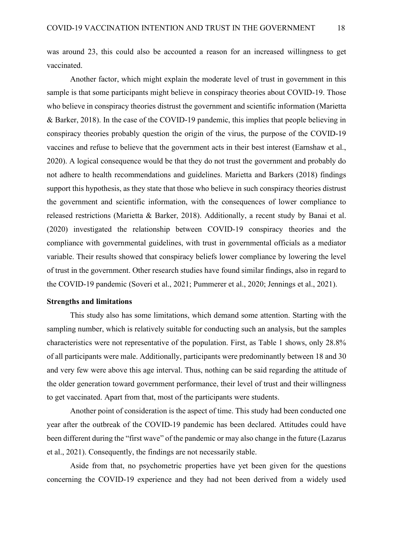was around 23, this could also be accounted a reason for an increased willingness to get vaccinated.

Another factor, which might explain the moderate level of trust in government in this sample is that some participants might believe in conspiracy theories about COVID-19. Those who believe in conspiracy theories distrust the government and scientific information (Marietta & Barker, 2018). In the case of the COVID-19 pandemic, this implies that people believing in conspiracy theories probably question the origin of the virus, the purpose of the COVID-19 vaccines and refuse to believe that the government acts in their best interest (Earnshaw et al., 2020). A logical consequence would be that they do not trust the government and probably do not adhere to health recommendations and guidelines. Marietta and Barkers (2018) findings support this hypothesis, as they state that those who believe in such conspiracy theories distrust the government and scientific information, with the consequences of lower compliance to released restrictions (Marietta & Barker, 2018). Additionally, a recent study by Banai et al. (2020) investigated the relationship between COVID-19 conspiracy theories and the compliance with governmental guidelines, with trust in governmental officials as a mediator variable. Their results showed that conspiracy beliefs lower compliance by lowering the level of trust in the government. Other research studies have found similar findings, also in regard to the COVID-19 pandemic (Soveri et al., 2021; Pummerer et al., 2020; Jennings et al., 2021).

### <span id="page-17-0"></span>**Strengths and limitations**

This study also has some limitations, which demand some attention. Starting with the sampling number, which is relatively suitable for conducting such an analysis, but the samples characteristics were not representative of the population. First, as Table 1 shows, only 28.8% of all participants were male. Additionally, participants were predominantly between 18 and 30 and very few were above this age interval. Thus, nothing can be said regarding the attitude of the older generation toward government performance, their level of trust and their willingness to get vaccinated. Apart from that, most of the participants were students.

Another point of consideration is the aspect of time. This study had been conducted one year after the outbreak of the COVID-19 pandemic has been declared. Attitudes could have been different during the "first wave" of the pandemic or may also change in the future (Lazarus et al., 2021). Consequently, the findings are not necessarily stable.

Aside from that, no psychometric properties have yet been given for the questions concerning the COVID-19 experience and they had not been derived from a widely used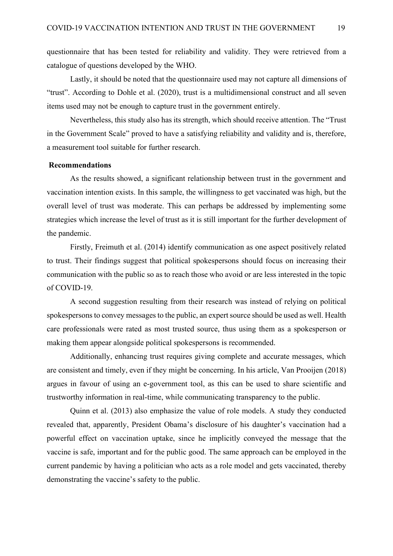questionnaire that has been tested for reliability and validity. They were retrieved from a catalogue of questions developed by the WHO.

Lastly, it should be noted that the questionnaire used may not capture all dimensions of "trust". According to Dohle et al. (2020), trust is a multidimensional construct and all seven items used may not be enough to capture trust in the government entirely.

Nevertheless, this study also has its strength, which should receive attention. The "Trust in the Government Scale" proved to have a satisfying reliability and validity and is, therefore, a measurement tool suitable for further research.

### <span id="page-18-0"></span>**Recommendations**

As the results showed, a significant relationship between trust in the government and vaccination intention exists. In this sample, the willingness to get vaccinated was high, but the overall level of trust was moderate. This can perhaps be addressed by implementing some strategies which increase the level of trust as it is still important for the further development of the pandemic.

Firstly, Freimuth et al. (2014) identify communication as one aspect positively related to trust. Their findings suggest that political spokespersons should focus on increasing their communication with the public so as to reach those who avoid or are less interested in the topic of COVID-19.

A second suggestion resulting from their research was instead of relying on political spokespersons to convey messages to the public, an expert source should be used as well. Health care professionals were rated as most trusted source, thus using them as a spokesperson or making them appear alongside political spokespersons is recommended.

Additionally, enhancing trust requires giving complete and accurate messages, which are consistent and timely, even if they might be concerning. In his article, Van Prooijen (2018) argues in favour of using an e-government tool, as this can be used to share scientific and trustworthy information in real-time, while communicating transparency to the public.

Quinn et al. (2013) also emphasize the value of role models. A study they conducted revealed that, apparently, President Obama's disclosure of his daughter's vaccination had a powerful effect on vaccination uptake, since he implicitly conveyed the message that the vaccine is safe, important and for the public good. The same approach can be employed in the current pandemic by having a politician who acts as a role model and gets vaccinated, thereby demonstrating the vaccine's safety to the public.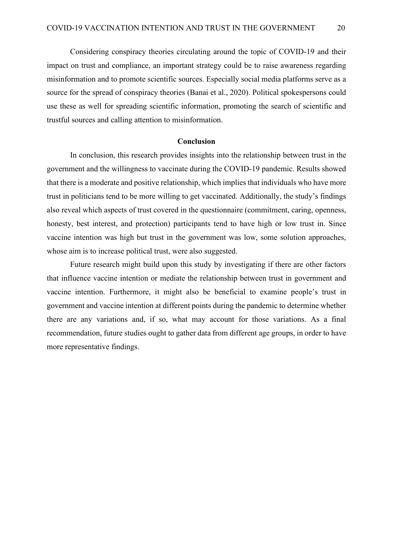Considering conspiracy theories circulating around the topic of COVID-19 and their impact on trust and compliance, an important strategy could be to raise awareness regarding misinformation and to promote scientific sources. Especially social media platforms serve as a source for the spread of conspiracy theories (Banai et al., 2020). Political spokespersons could use these as well for spreading scientific information, promoting the search of scientific and trustful sources and calling attention to misinformation.

## **Conclusion**

<span id="page-19-0"></span>In conclusion, this research provides insights into the relationship between trust in the government and the willingness to vaccinate during the COVID-19 pandemic. Results showed that there is a moderate and positive relationship, which implies that individuals who have more trust in politicians tend to be more willing to get vaccinated. Additionally, the study's findings also reveal which aspects of trust covered in the questionnaire (commitment, caring, openness, honesty, best interest, and protection) participants tend to have high or low trust in. Since vaccine intention was high but trust in the government was low, some solution approaches, whose aim is to increase political trust, were also suggested.

Future research might build upon this study by investigating if there are other factors that influence vaccine intention or mediate the relationship between trust in government and vaccine intention. Furthermore, it might also be beneficial to examine people's trust in government and vaccine intention at different points during the pandemic to determine whether there are any variations and, if so, what may account for those variations. As a final recommendation, future studies ought to gather data from different age groups, in order to have more representative findings.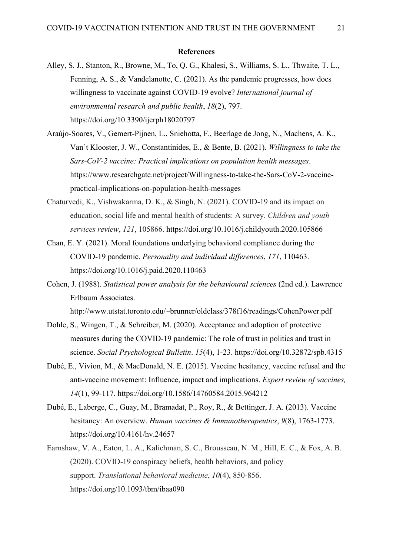#### **References**

- <span id="page-20-0"></span>Alley, S. J., Stanton, R., Browne, M., To, Q. G., Khalesi, S., Williams, S. L., Thwaite, T. L., Fenning, A. S., & Vandelanotte, C. (2021). As the pandemic progresses, how does willingness to vaccinate against COVID-19 evolve? *International journal of environmental research and public health*, *18*(2), 797. https://doi.org/10.3390/ijerph18020797
- Araújo-Soares, V., Gemert-Pijnen, L., Sniehotta, F., Beerlage de Jong, N., Machens, A. K., Van't Klooster, J. W., Constantinides, E., & Bente, B. (2021). *Willingness to take the Sars-CoV-2 vaccine: Practical implications on population health messages*. https://www.researchgate.net/project/Willingness-to-take-the-Sars-CoV-2-vaccinepractical-implications-on-population-health-messages
- Chaturvedi, K., Vishwakarma, D. K., & Singh, N. (2021). COVID-19 and its impact on education, social life and mental health of students: A survey. *Children and youth services review*, *121*, 105866. https://doi.org/10.1016/j.childyouth.2020.105866
- Chan, E. Y. (2021). Moral foundations underlying behavioral compliance during the COVID-19 pandemic. *Personality and individual differences*, *171*, 110463. https://doi.org/10.1016/j.paid.2020.110463
- Cohen, J. (1988). *Statistical power analysis for the behavioural sciences* (2nd ed.). Lawrence Erlbaum Associates.

http://www.utstat.toronto.edu/~brunner/oldclass/378f16/readings/CohenPower.pdf

- Dohle, S., Wingen, T., & Schreiber, M. (2020). Acceptance and adoption of protective measures during the COVID-19 pandemic: The role of trust in politics and trust in science. *Social Psychological Bulletin*. *15*(4), 1-23. https://doi.org/10.32872/spb.4315
- Dubé, E., Vivion, M., & MacDonald, N. E. (2015). Vaccine hesitancy, vaccine refusal and the anti-vaccine movement: Influence, impact and implications. *Expert review of vaccines, 14*(1), 99-117. https://doi.org/10.1586/14760584.2015.964212
- Dubé, E., Laberge, C., Guay, M., Bramadat, P., Roy, R., & Bettinger, J. A. (2013). Vaccine hesitancy: An overview. *Human vaccines & Immunotherapeutics*, *9*(8), 1763-1773. https://doi.org/10.4161/hv.24657
- Earnshaw, V. A., Eaton, L. A., Kalichman, S. C., Brousseau, N. M., Hill, E. C., & Fox, A. B. (2020). COVID-19 conspiracy beliefs, health behaviors, and policy support. *Translational behavioral medicine*, *10*(4), 850-856. https://doi.org/10.1093/tbm/ibaa090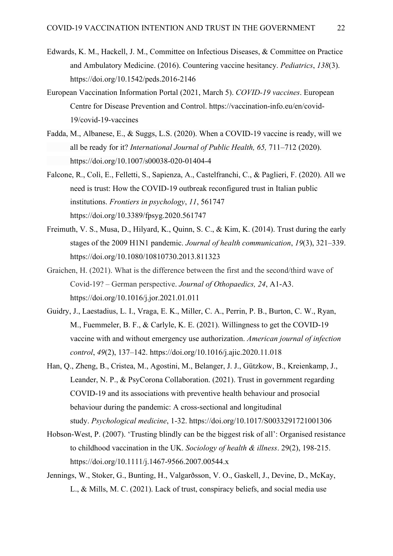- Edwards, K. M., Hackell, J. M., Committee on Infectious Diseases, & Committee on Practice and Ambulatory Medicine. (2016). Countering vaccine hesitancy. *Pediatrics*, *138*(3). https://doi.org/10.1542/peds.2016-2146
- European Vaccination Information Portal (2021, March 5). *COVID-19 vaccines*. European Centre for Disease Prevention and Control. https://vaccination-info.eu/en/covid-19/covid-19-vaccines
- Fadda, M., Albanese, E., & Suggs, L.S. (2020). When a COVID-19 vaccine is ready, will we all be ready for it? *International Journal of Public Health, 65,* 711–712 (2020). https://doi.org/10.1007/s00038-020-01404-4
- Falcone, R., Colì, E., Felletti, S., Sapienza, A., Castelfranchi, C., & Paglieri, F. (2020). All we need is trust: How the COVID-19 outbreak reconfigured trust in Italian public institutions. *Frontiers in psychology*, *11*, 561747 https://doi.org/10.3389/fpsyg.2020.561747
- Freimuth, V. S., Musa, D., Hilyard, K., Quinn, S. C., & Kim, K. (2014). Trust during the early stages of the 2009 H1N1 pandemic. *Journal of health communication*, *19*(3), 321–339. https://doi.org/10.1080/10810730.2013.811323
- Graichen, H. (2021). What is the difference between the first and the second/third wave of Covid-19? – German perspective. *Journal of Othopaedics, 24*, A1-A3. https://doi.org/10.1016/j.jor.2021.01.011
- Guidry, J., Laestadius, L. I., Vraga, E. K., Miller, C. A., Perrin, P. B., Burton, C. W., Ryan, M., Fuemmeler, B. F., & Carlyle, K. E. (2021). Willingness to get the COVID-19 vaccine with and without emergency use authorization. *American journal of infection control*, *49*(2), 137–142. https://doi.org/10.1016/j.ajic.2020.11.018
- Han, Q., Zheng, B., Cristea, M., Agostini, M., Belanger, J. J., Gützkow, B., Kreienkamp, J., Leander, N. P., & PsyCorona Collaboration. (2021). Trust in government regarding COVID-19 and its associations with preventive health behaviour and prosocial behaviour during the pandemic: A cross-sectional and longitudinal study. *Psychological medicine*, 1-32. https://doi.org/10.1017/S0033291721001306
- Hobson‐West, P. (2007). 'Trusting blindly can be the biggest risk of all': Organised resistance to childhood vaccination in the UK. *Sociology of health & illness*. 29(2), 198-215. https://doi.org/10.1111/j.1467-9566.2007.00544.x
- Jennings, W., Stoker, G., Bunting, H., Valgarðsson, V. O., Gaskell, J., Devine, D., McKay, L., & Mills, M. C. (2021). Lack of trust, conspiracy beliefs, and social media use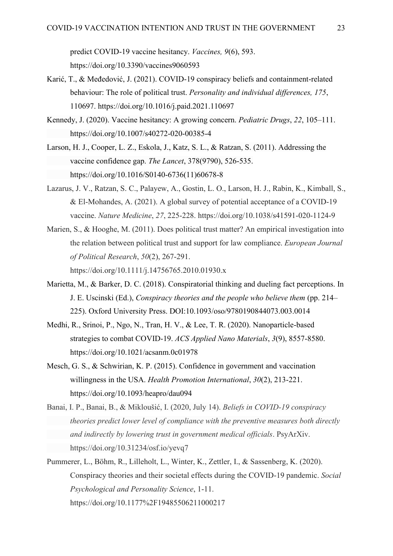predict COVID-19 vaccine hesitancy. *Vaccines, 9*(6), 593. https://doi.org/10.3390/vaccines9060593

- Karić, T., & Međedović, J. (2021). COVID-19 conspiracy beliefs and containment-related behaviour: The role of political trust. *Personality and individual differences, 175*, 110697. https://doi.org/10.1016/j.paid.2021.110697
- Kennedy, J. (2020). Vaccine hesitancy: A growing concern. *Pediatric Drugs*, *22*, 105–111. https://doi.org/10.1007/s40272-020-00385-4
- Larson, H. J., Cooper, L. Z., Eskola, J., Katz, S. L., & Ratzan, S. (2011). Addressing the vaccine confidence gap. *The Lancet*, 378(9790), 526-535. https://doi.org/10.1016/S0140-6736(11)60678-8
- Lazarus, J. V., Ratzan, S. C., Palayew, A., Gostin, L. O., Larson, H. J., Rabin, K., Kimball, S., & El-Mohandes, A. (2021). A global survey of potential acceptance of a COVID-19 vaccine. *Nature Medicine*, *27*, 225-228. https://doi.org/10.1038/s41591-020-1124-9
- Marien, S., & Hooghe, M. (2011). Does political trust matter? An empirical investigation into the relation between political trust and support for law compliance. *European Journal of Political Research*, *50*(2), 267-291. https://doi.org/10.1111/j.14756765.2010.01930.x
- Marietta, M., & Barker, D. C. (2018). Conspiratorial thinking and dueling fact perceptions. In J. E. Uscinski (Ed.), *Conspiracy theories and the people who believe them* (pp. 214– 225). Oxford University Press. DOI:10.1093/oso/9780190844073.003.0014
- Medhi, R., Srinoi, P., Ngo, N., Tran, H. V., & Lee, T. R. (2020). Nanoparticle-based strategies to combat COVID-19. *ACS Applied Nano Materials*, *3*(9), 8557-8580. https://doi.org/10.1021/acsanm.0c01978
- Mesch, G. S., & Schwirian, K. P. (2015). Confidence in government and vaccination willingness in the USA. *Health Promotion International*, *30*(2), 213-221. https://doi.org/10.1093/heapro/dau094
- Banai, I. P., Banai, B., & Mikloušić, I. (2020, July 14). *Beliefs in COVID-19 conspiracy theories predict lower level of compliance with the preventive measures both directly and indirectly by lowering trust in government medical officials*. PsyArXiv. https://doi.org/10.31234/osf.io/yevq7
- Pummerer, L., Böhm, R., Lilleholt, L., Winter, K., Zettler, I., & Sassenberg, K. (2020). Conspiracy theories and their societal effects during the COVID-19 pandemic. *Social Psychological and Personality Science*, 1-11. https://doi.org/10.1177%2F19485506211000217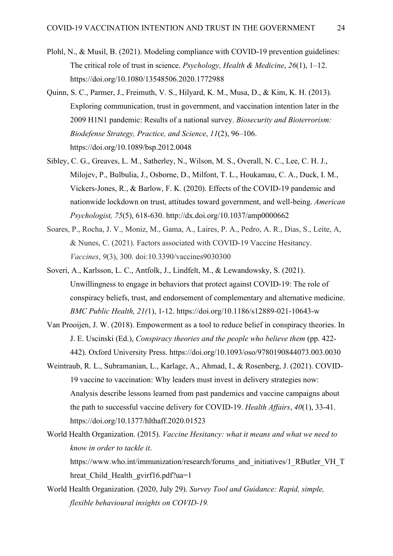- Plohl, N., & Musil, B. (2021). Modeling compliance with COVID-19 prevention guidelines: The critical role of trust in science. *Psychology, Health & Medicine*, *26*(1), 1–12. https://doi.org/10.1080/13548506.2020.1772988
- Quinn, S. C., Parmer, J., Freimuth, V. S., Hilyard, K. M., Musa, D., & Kim, K. H. (2013). Exploring communication, trust in government, and vaccination intention later in the 2009 H1N1 pandemic: Results of a national survey. *Biosecurity and Bioterrorism: Biodefense Strategy, Practice, and Science*, *11*(2), 96–106. https://doi.org/10.1089/bsp.2012.0048
- Sibley, C. G., Greaves, L. M., Satherley, N., Wilson, M. S., Overall, N. C., Lee, C. H. J., Milojev, P., Bulbulia, J., Osborne, D., Milfont, T. L., Houkamau, C. A., Duck, I. M., Vickers-Jones, R., & Barlow, F. K. (2020). Effects of the COVID-19 pandemic and nationwide lockdown on trust, attitudes toward government, and well-being. *American Psychologist, 75*(5), 618-630. http://dx.doi.org/10.1037/amp0000662
- Soares, P., Rocha, J. V., Moniz, M., Gama, A., Laires, P. A., Pedro, A. R., Dias, S., Leite, A, & Nunes, C. (2021). Factors associated with COVID-19 Vaccine Hesitancy. *Vaccines*, *9*(3), 300. doi:10.3390/vaccines9030300
- Soveri, A., Karlsson, L. C., Antfolk, J., Lindfelt, M., & Lewandowsky, S. (2021). Unwillingness to engage in behaviors that protect against COVID-19: The role of conspiracy beliefs, trust, and endorsement of complementary and alternative medicine. *BMC Public Health, 21(*1), 1-12. https://doi.org/10.1186/s12889-021-10643-w
- Van Prooijen, J. W. (2018). Empowerment as a tool to reduce belief in conspiracy theories. In J. E. Uscinski (Ed.), *Conspiracy theories and the people who believe them* (pp. 422- 442). Oxford University Press. https://doi.org/10.1093/oso/9780190844073.003.0030
- Weintraub, R. L., Subramanian, L., Karlage, A., Ahmad, I., & Rosenberg, J. (2021). COVID-19 vaccine to vaccination: Why leaders must invest in delivery strategies now: Analysis describe lessons learned from past pandemics and vaccine campaigns about the path to successful vaccine delivery for COVID-19. *Health Affairs*, *40*(1), 33-41. https://doi.org/10.1377/hlthaff.2020.01523
- World Health Organization. (2015). *Vaccine Hesitancy: what it means and what we need to know in order to tackle it*.

https://www.who.int/immunization/research/forums\_and\_initiatives/1\_RButler\_VH\_T hreat Child Health gvirf16.pdf?ua=1

World Health Organization. (2020, July 29). *Survey Tool and Guidance: Rapid, simple, flexible behavioural insights on COVID-19.*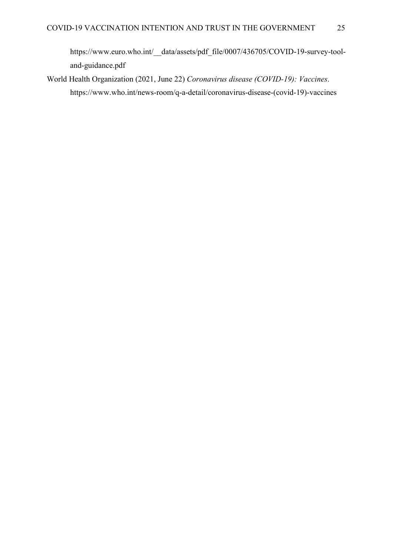https://www.euro.who.int/\_\_data/assets/pdf\_file/0007/436705/COVID-19-survey-tooland-guidance.pdf

World Health Organization (2021, June 22) *Coronavirus disease (COVID-19): Vaccines*. https://www.who.int/news-room/q-a-detail/coronavirus-disease-(covid-19)-vaccines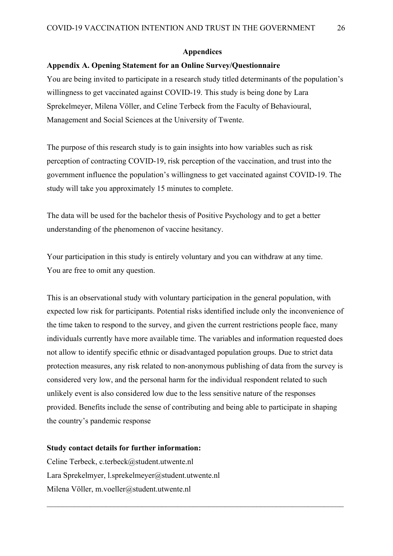#### **Appendices**

## <span id="page-25-1"></span><span id="page-25-0"></span>**Appendix A. Opening Statement for an Online Survey/Questionnaire**

You are being invited to participate in a research study titled determinants of the population's willingness to get vaccinated against COVID-19. This study is being done by Lara Sprekelmeyer, Milena Völler, and Celine Terbeck from the Faculty of Behavioural, Management and Social Sciences at the University of Twente.

The purpose of this research study is to gain insights into how variables such as risk perception of contracting COVID-19, risk perception of the vaccination, and trust into the government influence the population's willingness to get vaccinated against COVID-19. The study will take you approximately 15 minutes to complete.

The data will be used for the bachelor thesis of Positive Psychology and to get a better understanding of the phenomenon of vaccine hesitancy.

Your participation in this study is entirely voluntary and you can withdraw at any time. You are free to omit any question.

This is an observational study with voluntary participation in the general population, with expected low risk for participants. Potential risks identified include only the inconvenience of the time taken to respond to the survey, and given the current restrictions people face, many individuals currently have more available time. The variables and information requested does not allow to identify specific ethnic or disadvantaged population groups. Due to strict data protection measures, any risk related to non-anonymous publishing of data from the survey is considered very low, and the personal harm for the individual respondent related to such unlikely event is also considered low due to the less sensitive nature of the responses provided. Benefits include the sense of contributing and being able to participate in shaping the country's pandemic response

### **Study contact details for further information:**

Celine Terbeck, c.terbeck@student.utwente.nl Lara Sprekelmyer, l.sprekelmeyer@student.utwente.nl Milena Völler, m.voeller@student.utwente.nl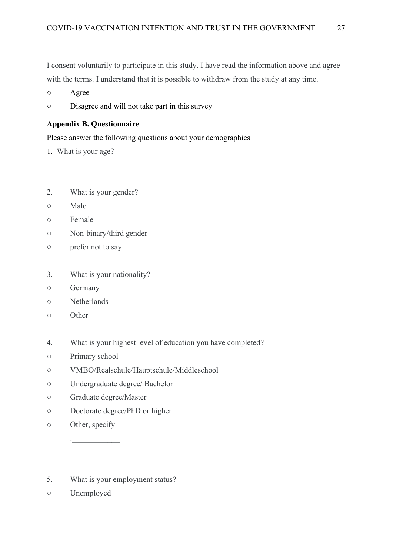I consent voluntarily to participate in this study. I have read the information above and agree with the terms. I understand that it is possible to withdraw from the study at any time.

- **○** Agree
- **○** Disagree and will not take part in this survey

## <span id="page-26-0"></span>**Appendix B. Questionnaire**

Please answer the following questions about your demographics

- 1. What is your age?
- 2. What is your gender?

 $\frac{1}{2}$ 

- Male
- Female
- Non-binary/third gender
- prefer not to say
- 3. What is your nationality?
- Germany
- Netherlands
- Other
- 4. What is your highest level of education you have completed?
- Primary school
- VMBO/Realschule/Hauptschule/Middleschool
- Undergraduate degree/ Bachelor
- Graduate degree/Master

.  $\Box$ 

- Doctorate degree/PhD or higher
- Other, specify
- 5. What is your employment status?
- Unemployed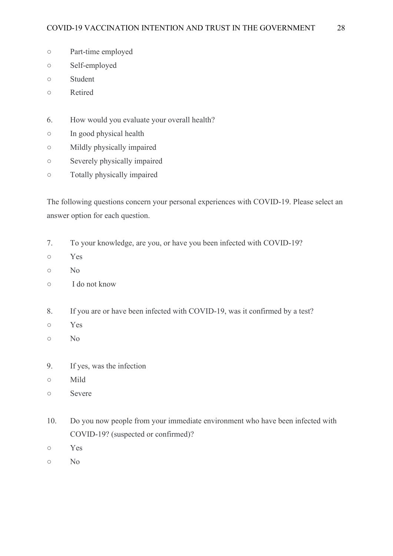- Part-time employed
- Self-employed
- Student
- Retired
- 6. How would you evaluate your overall health?
- In good physical health
- Mildly physically impaired
- Severely physically impaired
- Totally physically impaired

The following questions concern your personal experiences with COVID-19. Please select an answer option for each question.

- 7. To your knowledge, are you, or have you been infected with COVID-19?
- Yes
- No
- I do not know
- 8. If you are or have been infected with COVID-19, was it confirmed by a test?
- Yes
- No
- 9. If yes, was the infection
- Mild
- Severe
- 10. Do you now people from your immediate environment who have been infected with COVID-19? (suspected or confirmed)?
- Yes
- No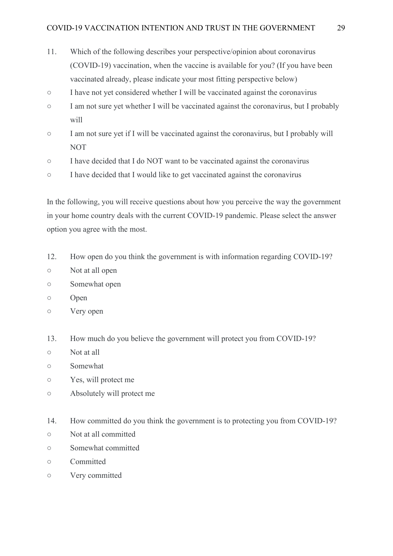- 11. Which of the following describes your perspective/opinion about coronavirus (COVID-19) vaccination, when the vaccine is available for you? (If you have been vaccinated already, please indicate your most fitting perspective below)
- I have not yet considered whether I will be vaccinated against the coronavirus
- I am not sure yet whether I will be vaccinated against the coronavirus, but I probably will
- I am not sure yet if I will be vaccinated against the coronavirus, but I probably will NOT
- I have decided that I do NOT want to be vaccinated against the coronavirus
- I have decided that I would like to get vaccinated against the coronavirus

In the following, you will receive questions about how you perceive the way the government in your home country deals with the current COVID-19 pandemic. Please select the answer option you agree with the most.

- 12. How open do you think the government is with information regarding COVID-19?
- Not at all open
- Somewhat open
- Open
- Very open
- 13. How much do you believe the government will protect you from COVID-19?
- Not at all
- Somewhat
- Yes, will protect me
- Absolutely will protect me
- 14. How committed do you think the government is to protecting you from COVID-19?
- Not at all committed
- Somewhat committed
- Committed
- Very committed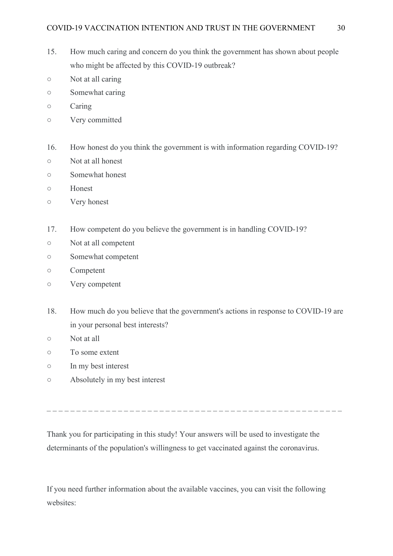- 15. How much caring and concern do you think the government has shown about people who might be affected by this COVID-19 outbreak?
- Not at all caring
- Somewhat caring
- Caring
- Very committed
- 16. How honest do you think the government is with information regarding COVID-19?
- Not at all honest
- Somewhat honest
- Honest
- Very honest
- 17. How competent do you believe the government is in handling COVID-19?
- Not at all competent
- Somewhat competent
- Competent
- Very competent
- 18. How much do you believe that the government's actions in response to COVID-19 are in your personal best interests?
- Not at all
- To some extent
- In my best interest
- Absolutely in my best interest

Thank you for participating in this study! Your answers will be used to investigate the determinants of the population's willingness to get vaccinated against the coronavirus.

If you need further information about the available vaccines, you can visit the following websites: